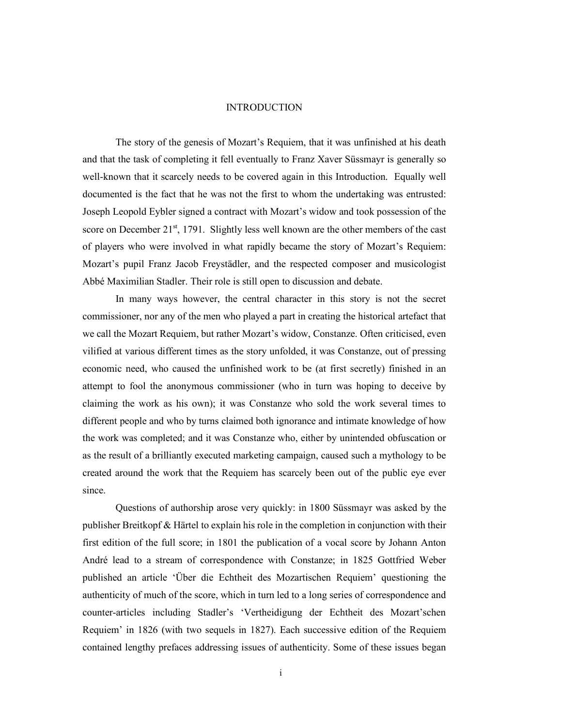## INTRODUCTION

The story of the genesis of Mozart's Requiem, that it was unfinished at his death and that the task of completing it fell eventually to Franz Xaver Süssmayr is generally so well-known that it scarcely needs to be covered again in this Introduction. Equally well documented is the fact that he was not the first to whom the undertaking was entrusted: Joseph Leopold Eybler signed a contract with Mozart's widow and took possession of the score on December  $21^{st}$ , 1791. Slightly less well known are the other members of the cast of players who were involved in what rapidly became the story of Mozart's Requiem: Mozart's pupil Franz Jacob Freystädler, and the respected composer and musicologist Abbé Maximilian Stadler. Their role is still open to discussion and debate.

In many ways however, the central character in this story is not the secret commissioner, nor any of the men who played a part in creating the historical artefact that we call the Mozart Requiem, but rather Mozart's widow, Constanze. Often criticised, even vilified at various different times as the story unfolded, it was Constanze, out of pressing economic need, who caused the unfinished work to be (at first secretly) finished in an attempt to fool the anonymous commissioner (who in turn was hoping to deceive by claiming the work as his own); it was Constanze who sold the work several times to different people and who by turns claimed both ignorance and intimate knowledge of how the work was completed; and it was Constanze who, either by unintended obfuscation or as the result of a brilliantly executed marketing campaign, caused such a mythology to be created around the work that the Requiem has scarcely been out of the public eye ever since.

Questions of authorship arose very quickly: in 1800 Süssmayr was asked by the publisher Breitkopf & Härtel to explain his role in the completion in conjunction with their first edition of the full score; in 1801 the publication of a vocal score by Johann Anton André lead to a stream of correspondence with Constanze; in 1825 Gottfried Weber published an article 'Über die Echtheit des Mozartischen Requiem' questioning the authenticity of much of the score, which in turn led to a long series of correspondence and counter-articles including Stadler's 'Vertheidigung der Echtheit des Mozart'schen Requiem' in 1826 (with two sequels in 1827). Each successive edition of the Requiem contained lengthy prefaces addressing issues of authenticity. Some of these issues began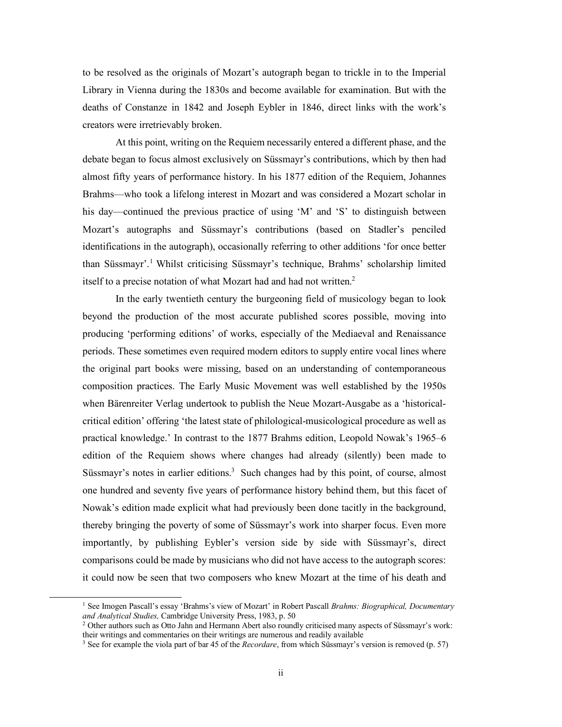to be resolved as the originals of Mozart's autograph began to trickle in to the Imperial Library in Vienna during the 1830s and become available for examination. But with the deaths of Constanze in 1842 and Joseph Eybler in 1846, direct links with the work's creators were irretrievably broken.

At this point, writing on the Requiem necessarily entered a different phase, and the debate began to focus almost exclusively on Süssmayr's contributions, which by then had almost fifty years of performance history. In his 1877 edition of the Requiem, Johannes Brahms—who took a lifelong interest in Mozart and was considered a Mozart scholar in his day—continued the previous practice of using 'M' and 'S' to distinguish between Mozart's autographs and Süssmayr's contributions (based on Stadler's penciled identifications in the autograph), occasionally referring to other additions 'for once better than Süssmayr'.<sup>1</sup> Whilst criticising Süssmayr's technique, Brahms' scholarship limited itself to a precise notation of what Mozart had and had not written.<sup>2</sup>

In the early twentieth century the burgeoning field of musicology began to look beyond the production of the most accurate published scores possible, moving into producing 'performing editions' of works, especially of the Mediaeval and Renaissance periods. These sometimes even required modern editors to supply entire vocal lines where the original part books were missing, based on an understanding of contemporaneous composition practices. The Early Music Movement was well established by the 1950s when Bärenreiter Verlag undertook to publish the Neue Mozart-Ausgabe as a 'historicalcritical edition' offering 'the latest state of philological-musicological procedure as well as practical knowledge.' In contrast to the 1877 Brahms edition, Leopold Nowak's 1965–6 edition of the Requiem shows where changes had already (silently) been made to Süssmayr's notes in earlier editions.<sup>3</sup> Such changes had by this point, of course, almost one hundred and seventy five years of performance history behind them, but this facet of Nowak's edition made explicit what had previously been done tacitly in the background, thereby bringing the poverty of some of Süssmayr's work into sharper focus. Even more importantly, by publishing Eybler's version side by side with Süssmayr's, direct comparisons could be made by musicians who did not have access to the autograph scores: it could now be seen that two composers who knew Mozart at the time of his death and

<sup>1</sup> See Imogen Pascall's essay 'Brahms's view of Mozart' in Robert Pascall *Brahms: Biographical, Documentary and Analytical Studies,* Cambridge University Press, 1983, p. 50

<sup>&</sup>lt;sup>2</sup> Other authors such as Otto Jahn and Hermann Abert also roundly criticised many aspects of Süssmayr's work: their writings and commentaries on their writings are numerous and readily available

<sup>3</sup> See for example the viola part of bar 45 of the *Recordare*, from which Süssmayr's version is removed (p. 57)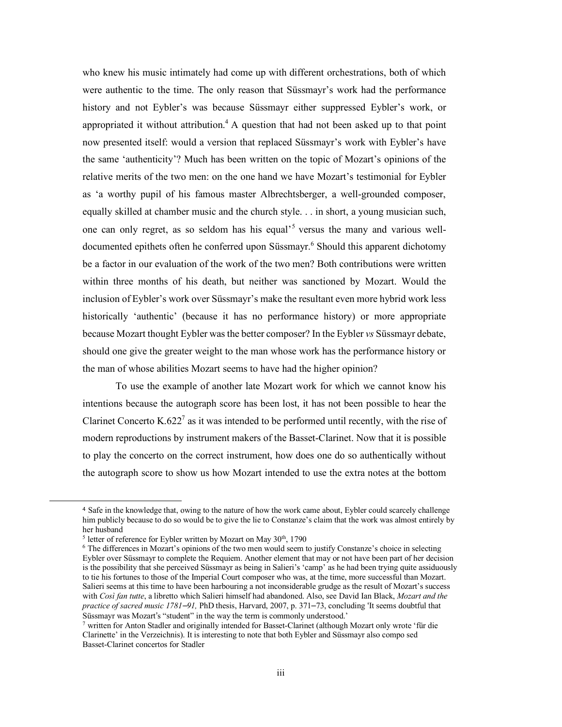who knew his music intimately had come up with different orchestrations, both of which were authentic to the time. The only reason that Süssmayr's work had the performance history and not Eybler's was because Süssmayr either suppressed Eybler's work, or appropriated it without attribution.<sup>4</sup> A question that had not been asked up to that point now presented itself: would a version that replaced Süssmayr's work with Eybler's have the same 'authenticity'? Much has been written on the topic of Mozart's opinions of the relative merits of the two men: on the one hand we have Mozart's testimonial for Eybler as 'a worthy pupil of his famous master Albrechtsberger, a well-grounded composer, equally skilled at chamber music and the church style. . . in short, a young musician such, one can only regret, as so seldom has his equal' <sup>5</sup> versus the many and various welldocumented epithets often he conferred upon Süssmayr.<sup>6</sup> Should this apparent dichotomy be a factor in our evaluation of the work of the two men? Both contributions were written within three months of his death, but neither was sanctioned by Mozart. Would the inclusion of Eybler's work over Süssmayr's make the resultant even more hybrid work less historically 'authentic' (because it has no performance history) or more appropriate because Mozart thought Eybler was the better composer? In the Eybler *vs* Süssmayr debate, should one give the greater weight to the man whose work has the performance history or the man of whose abilities Mozart seems to have had the higher opinion?

To use the example of another late Mozart work for which we cannot know his intentions because the autograph score has been lost, it has not been possible to hear the Clarinet Concerto K.622<sup>7</sup> as it was intended to be performed until recently, with the rise of modern reproductions by instrument makers of the Basset-Clarinet. Now that it is possible to play the concerto on the correct instrument, how does one do so authentically without the autograph score to show us how Mozart intended to use the extra notes at the bottom

l

<sup>4</sup> Safe in the knowledge that, owing to the nature of how the work came about, Eybler could scarcely challenge him publicly because to do so would be to give the lie to Constanze's claim that the work was almost entirely by her husband

 $5$  letter of reference for Eybler written by Mozart on May  $30<sup>th</sup>$ , 1790

<sup>6</sup> The differences in Mozart's opinions of the two men would seem to justify Constanze's choice in selecting Eybler over Süssmayr to complete the Requiem. Another element that may or not have been part of her decision is the possibility that she perceived Süssmayr as being in Salieri's 'camp' as he had been trying quite assiduously to tie his fortunes to those of the Imperial Court composer who was, at the time, more successful than Mozart. Salieri seems at this time to have been harbouring a not inconsiderable grudge as the result of Mozart's success with *Così fan tutte*, a libretto which Salieri himself had abandoned. Also, see David Ian Black, *Mozart and the practice of sacred music 1781–91,* PhD thesis, Harvard, 2007, p. 371–73, concluding 'It seems doubtful that Süssmayr was Mozart's "student" in the way the term is commonly understood.'

<sup>7</sup> written for Anton Stadler and originally intended for Basset-Clarinet (although Mozart only wrote 'für die Clarinette' in the Verzeichnis). It is interesting to note that both Eybler and Süssmayr also compo sed Basset-Clarinet concertos for Stadler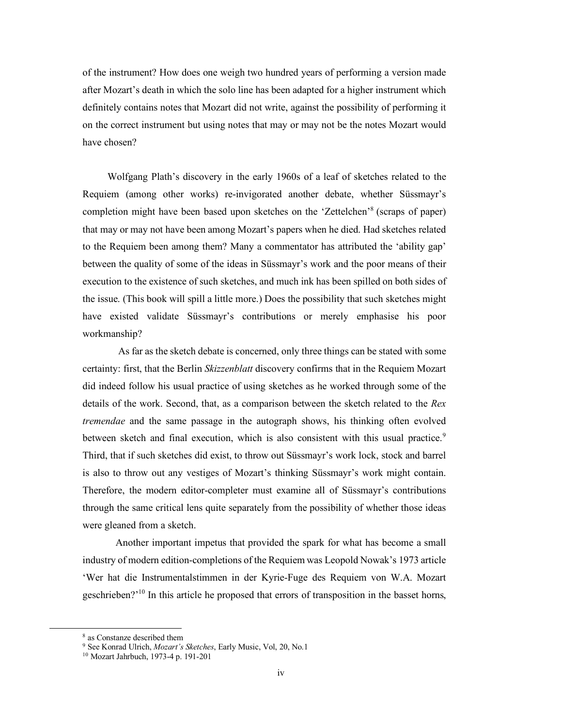of the instrument? How does one weigh two hundred years of performing a version made after Mozart's death in which the solo line has been adapted for a higher instrument which definitely contains notes that Mozart did not write, against the possibility of performing it on the correct instrument but using notes that may or may not be the notes Mozart would have chosen?

Wolfgang Plath's discovery in the early 1960s of a leaf of sketches related to the Requiem (among other works) re-invigorated another debate, whether Süssmayr's completion might have been based upon sketches on the 'Zettelchen'<sup>8</sup> (scraps of paper) that may or may not have been among Mozart's papers when he died. Had sketches related to the Requiem been among them? Many a commentator has attributed the 'ability gap' between the quality of some of the ideas in Süssmayr's work and the poor means of their execution to the existence of such sketches, and much ink has been spilled on both sides of the issue. (This book will spill a little more.) Does the possibility that such sketches might have existed validate Süssmayr's contributions or merely emphasise his poor workmanship?

As far as the sketch debate is concerned, only three things can be stated with some certainty: first, that the Berlin *Skizzenblatt* discovery confirms that in the Requiem Mozart did indeed follow his usual practice of using sketches as he worked through some of the details of the work. Second, that, as a comparison between the sketch related to the *Rex tremendae* and the same passage in the autograph shows, his thinking often evolved between sketch and final execution, which is also consistent with this usual practice.<sup>9</sup> Third, that if such sketches did exist, to throw out Süssmayr's work lock, stock and barrel is also to throw out any vestiges of Mozart's thinking Süssmayr's work might contain. Therefore, the modern editor-completer must examine all of Süssmayr's contributions through the same critical lens quite separately from the possibility of whether those ideas were gleaned from a sketch.

Another important impetus that provided the spark for what has become a small industry of modern edition-completions of the Requiem was Leopold Nowak's 1973 article 'Wer hat die Instrumentalstimmen in der Kyrie-Fuge des Requiem von W.A. Mozart geschrieben?<sup>'10</sup> In this article he proposed that errors of transposition in the basset horns,

<sup>8</sup> as Constanze described them

<sup>9</sup> See Konrad Ulrich, *Mozart's Sketches*, Early Music, Vol, 20, No.1

<sup>10</sup> Mozart Jahrbuch, 1973-4 p. 191-201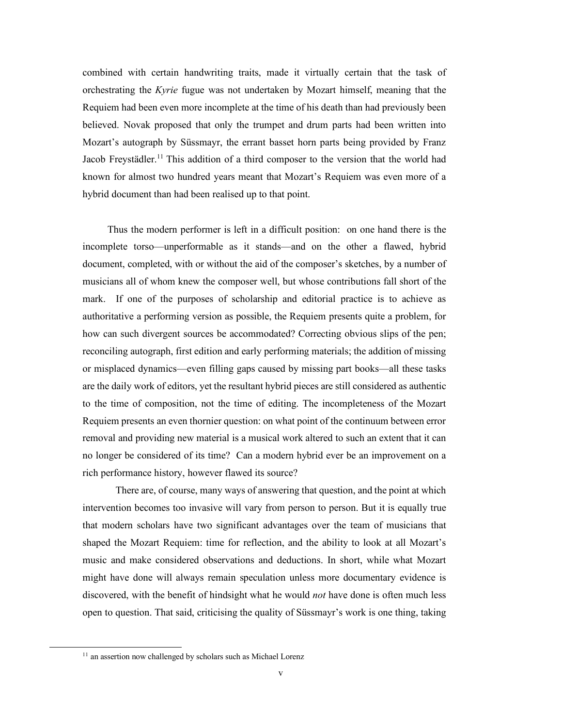combined with certain handwriting traits, made it virtually certain that the task of orchestrating the *Kyrie* fugue was not undertaken by Mozart himself, meaning that the Requiem had been even more incomplete at the time of his death than had previously been believed. Novak proposed that only the trumpet and drum parts had been written into Mozart's autograph by Süssmayr, the errant basset horn parts being provided by Franz Jacob Freystädler.<sup>11</sup> This addition of a third composer to the version that the world had known for almost two hundred years meant that Mozart's Requiem was even more of a hybrid document than had been realised up to that point.

Thus the modern performer is left in a difficult position: on one hand there is the incomplete torso—unperformable as it stands—and on the other a flawed, hybrid document, completed, with or without the aid of the composer's sketches, by a number of musicians all of whom knew the composer well, but whose contributions fall short of the mark. If one of the purposes of scholarship and editorial practice is to achieve as authoritative a performing version as possible, the Requiem presents quite a problem, for how can such divergent sources be accommodated? Correcting obvious slips of the pen; reconciling autograph, first edition and early performing materials; the addition of missing or misplaced dynamics—even filling gaps caused by missing part books—all these tasks are the daily work of editors, yet the resultant hybrid pieces are still considered as authentic to the time of composition, not the time of editing. The incompleteness of the Mozart Requiem presents an even thornier question: on what point of the continuum between error removal and providing new material is a musical work altered to such an extent that it can no longer be considered of its time? Can a modern hybrid ever be an improvement on a rich performance history, however flawed its source?

There are, of course, many ways of answering that question, and the point at which intervention becomes too invasive will vary from person to person. But it is equally true that modern scholars have two significant advantages over the team of musicians that shaped the Mozart Requiem: time for reflection, and the ability to look at all Mozart's music and make considered observations and deductions. In short, while what Mozart might have done will always remain speculation unless more documentary evidence is discovered, with the benefit of hindsight what he would *not* have done is often much less open to question. That said, criticising the quality of Süssmayr's work is one thing, taking

<sup>&</sup>lt;sup>11</sup> an assertion now challenged by scholars such as Michael Lorenz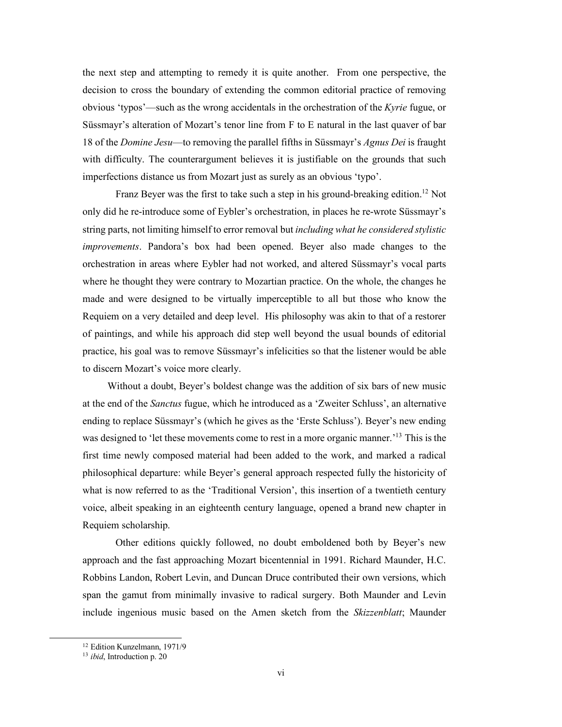the next step and attempting to remedy it is quite another. From one perspective, the decision to cross the boundary of extending the common editorial practice of removing obvious 'typos'—such as the wrong accidentals in the orchestration of the *Kyrie* fugue, or Süssmayr's alteration of Mozart's tenor line from F to E natural in the last quaver of bar 18 of the *Domine Jesu*—to removing the parallel fifths in Süssmayr's *Agnus Dei* is fraught with difficulty. The counterargument believes it is justifiable on the grounds that such imperfections distance us from Mozart just as surely as an obvious 'typo'.

Franz Beyer was the first to take such a step in his ground-breaking edition.<sup>12</sup> Not only did he re-introduce some of Eybler's orchestration, in places he re-wrote Süssmayr's string parts, not limiting himself to error removal but *including what he considered stylistic improvements*. Pandora's box had been opened. Beyer also made changes to the orchestration in areas where Eybler had not worked, and altered Süssmayr's vocal parts where he thought they were contrary to Mozartian practice. On the whole, the changes he made and were designed to be virtually imperceptible to all but those who know the Requiem on a very detailed and deep level. His philosophy was akin to that of a restorer of paintings, and while his approach did step well beyond the usual bounds of editorial practice, his goal was to remove Süssmayr's infelicities so that the listener would be able to discern Mozart's voice more clearly.

Without a doubt, Beyer's boldest change was the addition of six bars of new music at the end of the *Sanctus* fugue, which he introduced as a 'Zweiter Schluss', an alternative ending to replace Süssmayr's (which he gives as the 'Erste Schluss'). Beyer's new ending was designed to 'let these movements come to rest in a more organic manner.<sup>13</sup> This is the first time newly composed material had been added to the work, and marked a radical philosophical departure: while Beyer's general approach respected fully the historicity of what is now referred to as the 'Traditional Version', this insertion of a twentieth century voice, albeit speaking in an eighteenth century language, opened a brand new chapter in Requiem scholarship.

Other editions quickly followed, no doubt emboldened both by Beyer's new approach and the fast approaching Mozart bicentennial in 1991. Richard Maunder, H.C. Robbins Landon, Robert Levin, and Duncan Druce contributed their own versions, which span the gamut from minimally invasive to radical surgery. Both Maunder and Levin include ingenious music based on the Amen sketch from the *Skizzenblatt*; Maunder

l

<sup>12</sup> Edition Kunzelmann, 1971/9

<sup>13</sup> *ibid*, Introduction p. 20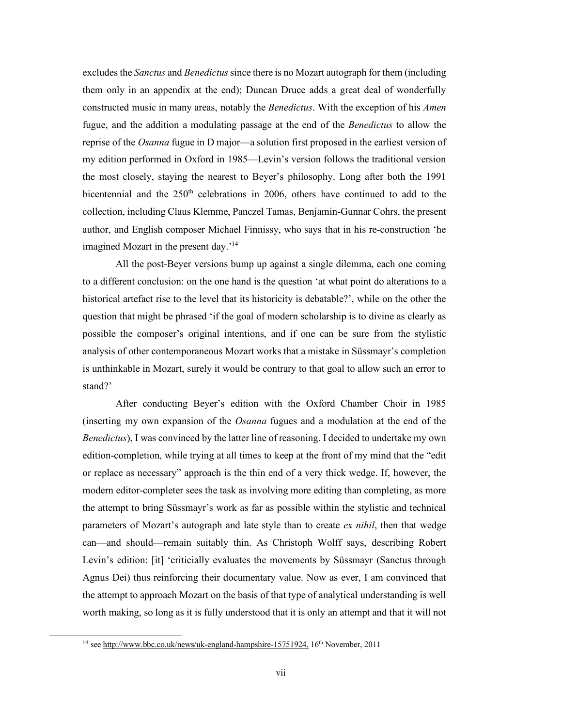excludes the *Sanctus* and *Benedictus*since there is no Mozart autograph for them (including them only in an appendix at the end); Duncan Druce adds a great deal of wonderfully constructed music in many areas, notably the *Benedictus*. With the exception of his *Amen* fugue, and the addition a modulating passage at the end of the *Benedictus* to allow the reprise of the *Osanna* fugue in D major—a solution first proposed in the earliest version of my edition performed in Oxford in 1985—Levin's version follows the traditional version the most closely, staying the nearest to Beyer's philosophy. Long after both the 1991 bicentennial and the  $250<sup>th</sup>$  celebrations in 2006, others have continued to add to the collection, including Claus Klemme, Panczel Tamas, Benjamin-Gunnar Cohrs, the present author, and English composer Michael Finnissy, who says that in his re-construction 'he imagined Mozart in the present day.<sup>'14</sup>

All the post-Beyer versions bump up against a single dilemma, each one coming to a different conclusion: on the one hand is the question 'at what point do alterations to a historical artefact rise to the level that its historicity is debatable?', while on the other the question that might be phrased 'if the goal of modern scholarship is to divine as clearly as possible the composer's original intentions, and if one can be sure from the stylistic analysis of other contemporaneous Mozart works that a mistake in Süssmayr's completion is unthinkable in Mozart, surely it would be contrary to that goal to allow such an error to stand?'

After conducting Beyer's edition with the Oxford Chamber Choir in 1985 (inserting my own expansion of the *Osanna* fugues and a modulation at the end of the *Benedictus*), I was convinced by the latter line of reasoning. I decided to undertake my own edition-completion, while trying at all times to keep at the front of my mind that the "edit or replace as necessary" approach is the thin end of a very thick wedge. If, however, the modern editor-completer sees the task as involving more editing than completing, as more the attempt to bring Süssmayr's work as far as possible within the stylistic and technical parameters of Mozart's autograph and late style than to create *ex nihil*, then that wedge can—and should—remain suitably thin. As Christoph Wolff says, describing Robert Levin's edition: [it] 'criticially evaluates the movements by Süssmayr (Sanctus through Agnus Dei) thus reinforcing their documentary value. Now as ever, I am convinced that the attempt to approach Mozart on the basis of that type of analytical understanding is well worth making, so long as it is fully understood that it is only an attempt and that it will not

<sup>&</sup>lt;sup>14</sup> see http://www.bbc.co.uk/news/uk-england-hampshire-15751924, 16<sup>th</sup> November, 2011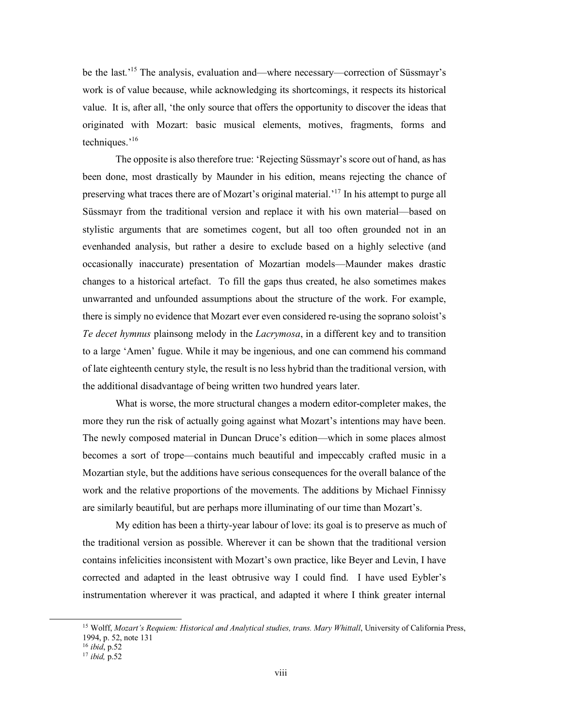be the last.' <sup>15</sup> The analysis, evaluation and—where necessary—correction of Süssmayr's work is of value because, while acknowledging its shortcomings, it respects its historical value. It is, after all, 'the only source that offers the opportunity to discover the ideas that originated with Mozart: basic musical elements, motives, fragments, forms and techniques.' 16

The opposite is also therefore true: 'Rejecting Süssmayr's score out of hand, as has been done, most drastically by Maunder in his edition, means rejecting the chance of preserving what traces there are of Mozart's original material.<sup>'17</sup> In his attempt to purge all Süssmayr from the traditional version and replace it with his own material—based on stylistic arguments that are sometimes cogent, but all too often grounded not in an evenhanded analysis, but rather a desire to exclude based on a highly selective (and occasionally inaccurate) presentation of Mozartian models—Maunder makes drastic changes to a historical artefact. To fill the gaps thus created, he also sometimes makes unwarranted and unfounded assumptions about the structure of the work. For example, there is simply no evidence that Mozart ever even considered re-using the soprano soloist's *Te decet hymnus* plainsong melody in the *Lacrymosa*, in a different key and to transition to a large 'Amen' fugue. While it may be ingenious, and one can commend his command of late eighteenth century style, the result is no less hybrid than the traditional version, with the additional disadvantage of being written two hundred years later.

What is worse, the more structural changes a modern editor-completer makes, the more they run the risk of actually going against what Mozart's intentions may have been. The newly composed material in Duncan Druce's edition—which in some places almost becomes a sort of trope—contains much beautiful and impeccably crafted music in a Mozartian style, but the additions have serious consequences for the overall balance of the work and the relative proportions of the movements. The additions by Michael Finnissy are similarly beautiful, but are perhaps more illuminating of our time than Mozart's.

My edition has been a thirty-year labour of love: its goal is to preserve as much of the traditional version as possible. Wherever it can be shown that the traditional version contains infelicities inconsistent with Mozart's own practice, like Beyer and Levin, I have corrected and adapted in the least obtrusive way I could find. I have used Eybler's instrumentation wherever it was practical, and adapted it where I think greater internal

l

<sup>15</sup> Wolff, *Mozart's Requiem: Historical and Analytical studies, trans. Mary Whittall*, University of California Press, 1994, p. 52, note 131

<sup>16</sup> *ibid*, p.52

<sup>17</sup> *ibid,* p.52